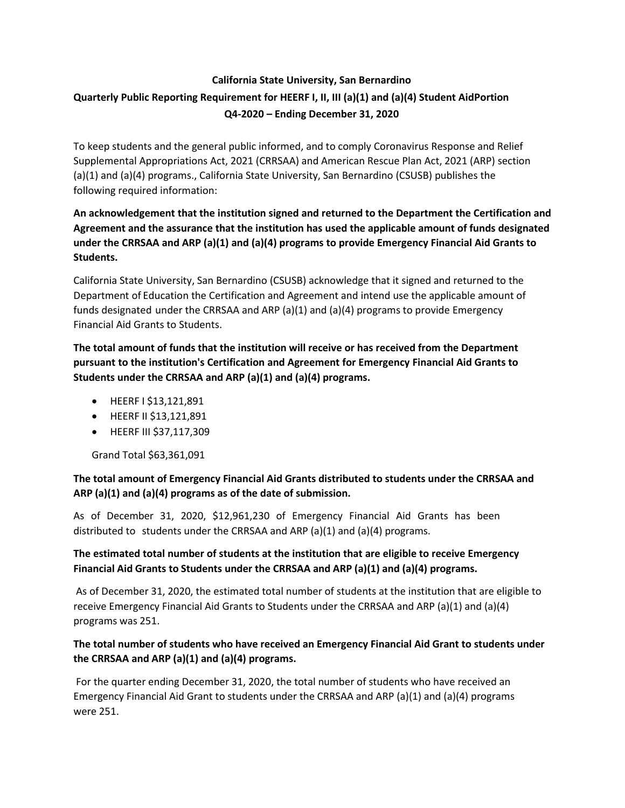# **California State University, San Bernardino Quarterly Public Reporting Requirement for HEERF I, II, III (a)(1) and (a)(4) Student AidPortion Q4-2020 – Ending December 31, 2020**

To keep students and the general public informed, and to comply Coronavirus Response and Relief Supplemental Appropriations Act, 2021 (CRRSAA) and American Rescue Plan Act, 2021 (ARP) section (a)(1) and (a)(4) programs., California State University, San Bernardino (CSUSB) publishes the following required information:

## **An acknowledgement that the institution signed and returned to the Department the Certification and Agreement and the assurance that the institution has used the applicable amount of funds designated under the CRRSAA and ARP (a)(1) and (a)(4) programs to provide Emergency Financial Aid Grants to Students.**

California State University, San Bernardino (CSUSB) acknowledge that it signed and returned to the Department of Education the Certification and Agreement and intend use the applicable amount of funds designated under the CRRSAA and ARP (a)(1) and (a)(4) programs to provide Emergency Financial Aid Grants to Students.

**The total amount of funds that the institution will receive or has received from the Department pursuant to the institution's Certification and Agreement for Emergency Financial Aid Grants to Students under the CRRSAA and ARP (a)(1) and (a)(4) programs.**

- HEERF I \$13,121,891
- HEERF II \$13,121,891
- HEERF III \$37,117,309

Grand Total \$63,361,091

#### **The total amount of Emergency Financial Aid Grants distributed to students under the CRRSAA and ARP (a)(1) and (a)(4) programs as of the date of submission.**

As of December 31, 2020, \$12,961,230 of Emergency Financial Aid Grants has been distributed to students under the CRRSAA and ARP  $(a)(1)$  and  $(a)(4)$  programs.

## **The estimated total number of students at the institution that are eligible to receive Emergency Financial Aid Grants to Students under the CRRSAA and ARP (a)(1) and (a)(4) programs.**

As of December 31, 2020, the estimated total number of students at the institution that are eligible to receive Emergency Financial Aid Grants to Students under the CRRSAA and ARP (a)(1) and (a)(4) programs was 251.

#### **The total number of students who have received an Emergency Financial Aid Grant to students under the CRRSAA and ARP (a)(1) and (a)(4) programs.**

For the quarter ending December 31, 2020, the total number of students who have received an Emergency Financial Aid Grant to students under the CRRSAA and ARP (a)(1) and (a)(4) programs were 251.